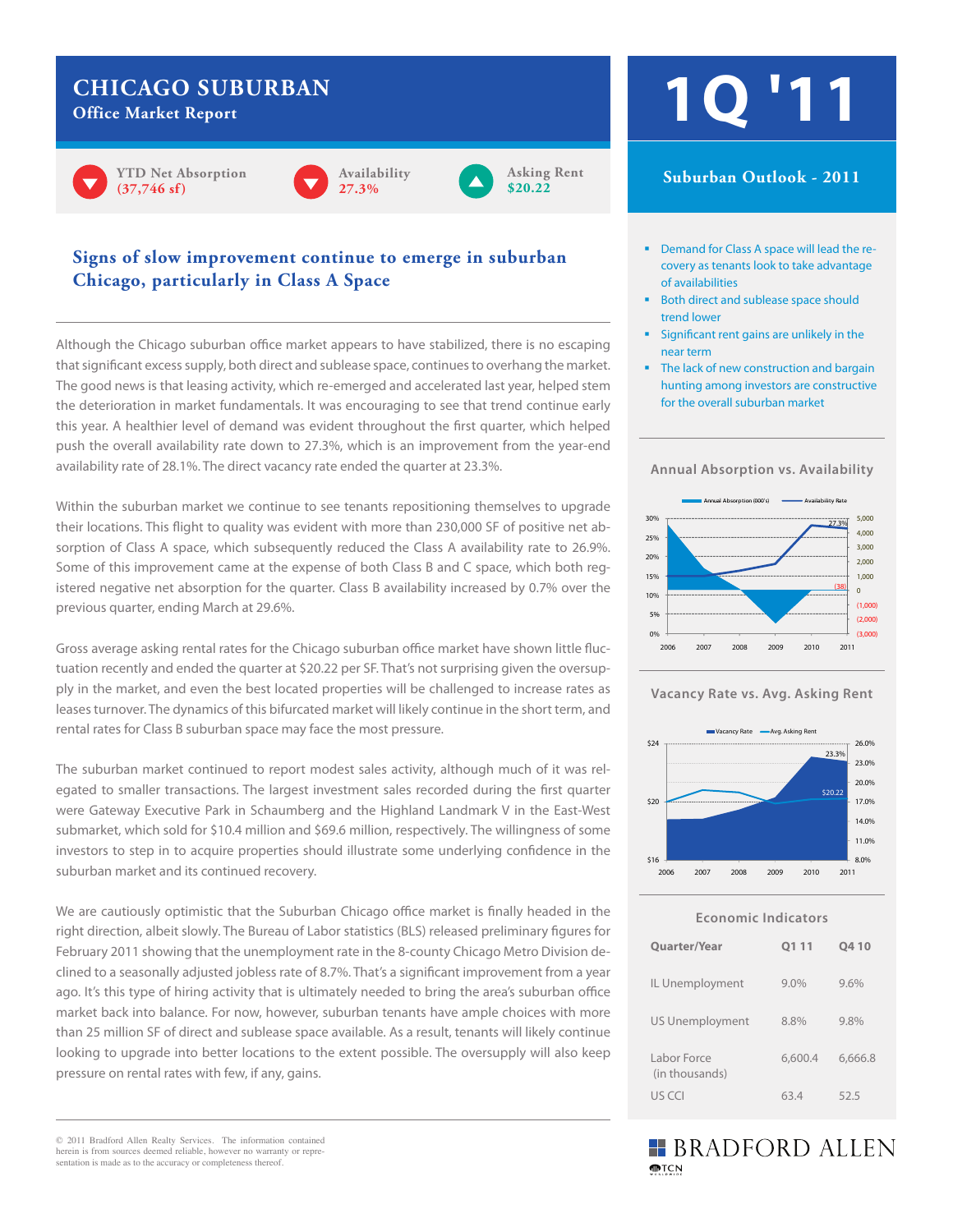# **CHICAGO SUBURBAN**

**Office Market Report**









# **Signs of slow improvement continue to emerge in suburban Chicago, particularly in Class A Space**

Although the Chicago suburban office market appears to have stabilized, there is no escaping that significant excess supply, both direct and sublease space, continues to overhang the market. The good news is that leasing activity, which re-emerged and accelerated last year, helped stem the deterioration in market fundamentals. It was encouraging to see that trend continue early this year. A healthier level of demand was evident throughout the first quarter, which helped push the overall availability rate down to 27.3%, which is an improvement from the year-end availability rate of 28.1%. The direct vacancy rate ended the quarter at 23.3%.

Within the suburban market we continue to see tenants repositioning themselves to upgrade their locations. This flight to quality was evident with more than 230,000 SF of positive net absorption of Class A space, which subsequently reduced the Class A availability rate to 26.9%. Some of this improvement came at the expense of both Class B and C space, which both registered negative net absorption for the quarter. Class B availability increased by 0.7% over the previous quarter, ending March at 29.6%.

Gross average asking rental rates for the Chicago suburban office market have shown little fluctuation recently and ended the quarter at \$20.22 per SF. That's not surprising given the oversupply in the market, and even the best located properties will be challenged to increase rates as leases turnover. The dynamics of this bifurcated market will likely continue in the short term, and rental rates for Class B suburban space may face the most pressure.

The suburban market continued to report modest sales activity, although much of it was relegated to smaller transactions. The largest investment sales recorded during the first quarter were Gateway Executive Park in Schaumberg and the Highland Landmark V in the East-West submarket, which sold for \$10.4 million and \$69.6 million, respectively. The willingness of some investors to step in to acquire properties should illustrate some underlying confidence in the suburban market and its continued recovery.

We are cautiously optimistic that the Suburban Chicago office market is finally headed in the right direction, albeit slowly. The Bureau of Labor statistics (BLS) released preliminary figures for February 2011 showing that the unemployment rate in the 8-county Chicago Metro Division declined to a seasonally adjusted jobless rate of 8.7%. That's a significant improvement from a year ago. It's this type of hiring activity that is ultimately needed to bring the area's suburban office market back into balance. For now, however, suburban tenants have ample choices with more than 25 million SF of direct and sublease space available. As a result, tenants will likely continue looking to upgrade into better locations to the extent possible. The oversupply will also keep pressure on rental rates with few, if any, gains.

© 2011 Bradford Allen Realty Services. The information contained herein is from sources deemed reliable, however no warranty or representation is made as to the accuracy or completeness thereof.

# **1Q '11**

### **CBD Outlook - 2011 Suburban Outlook - 2011**

- **Demand for Class A space will lead the re**covery as tenants look to take advantage of availabilities
- Both direct and sublease space should trend lower
- Significant rent gains are unlikely in the near term
- for the overall suburban market The lack of new construction and bargain hunting among investors are constructive

#### **Annual Absorption vs. Availability**







**Economic Indicators**

| <b>Quarter/Year</b>           | Q111    | Q410    |
|-------------------------------|---------|---------|
| IL Unemployment               | $9.0\%$ | 9.6%    |
| <b>US Unemployment</b>        | 8.8%    | 9.8%    |
| Labor Force<br>(in thousands) | 6,600.4 | 6,666.8 |
| US CCI                        | 63.4    | 52.5    |

# **BRADFORD ALLEN MPTCN**